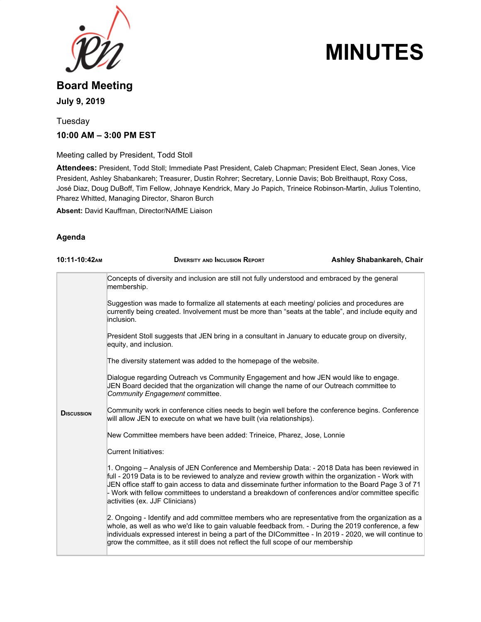

# **MINUTES**

## **Board Meeting July 9, 2019**

## Tuesday **10:00 AM – 3:00 PM EST**

Meeting called by President, Todd Stoll

**Attendees:** President, Todd Stoll; Immediate Past President, Caleb Chapman; President Elect, Sean Jones, Vice President, Ashley Shabankareh; Treasurer, Dustin Rohrer; Secretary, Lonnie Davis; Bob Breithaupt, Roxy Coss, José Diaz, Doug DuBoff, Tim Fellow, Johnaye Kendrick, Mary Jo Papich, Trineice Robinson-Martin, Julius Tolentino, Pharez Whitted, Managing Director, Sharon Burch

**Absent:** David Kauffman, Director/NAfME Liaison

#### **Agenda**

| 10:11-10:42AM     | <b>DIVERSITY AND INCLUSION REPORT</b>                                                                                                                                                                                                                                                                                                                                                                                                                | Ashley Shabankareh, Chair |
|-------------------|------------------------------------------------------------------------------------------------------------------------------------------------------------------------------------------------------------------------------------------------------------------------------------------------------------------------------------------------------------------------------------------------------------------------------------------------------|---------------------------|
|                   | Concepts of diversity and inclusion are still not fully understood and embraced by the general<br>membership.                                                                                                                                                                                                                                                                                                                                        |                           |
|                   | Suggestion was made to formalize all statements at each meeting/ policies and procedures are<br>currently being created. Involvement must be more than "seats at the table", and include equity and<br>inclusion.                                                                                                                                                                                                                                    |                           |
|                   | President Stoll suggests that JEN bring in a consultant in January to educate group on diversity,<br>equity, and inclusion.                                                                                                                                                                                                                                                                                                                          |                           |
|                   | The diversity statement was added to the homepage of the website.                                                                                                                                                                                                                                                                                                                                                                                    |                           |
|                   | Dialogue regarding Outreach vs Community Engagement and how JEN would like to engage.<br>JEN Board decided that the organization will change the name of our Outreach committee to<br>Community Engagement committee.                                                                                                                                                                                                                                |                           |
| <b>DISCUSSION</b> | Community work in conference cities needs to begin well before the conference begins. Conference<br>will allow JEN to execute on what we have built (via relationships).                                                                                                                                                                                                                                                                             |                           |
|                   | New Committee members have been added: Trineice, Pharez, Jose, Lonnie                                                                                                                                                                                                                                                                                                                                                                                |                           |
|                   | Current Initiatives:                                                                                                                                                                                                                                                                                                                                                                                                                                 |                           |
|                   | 1. Ongoing – Analysis of JEN Conference and Membership Data: - 2018 Data has been reviewed in<br>full - 2019 Data is to be reviewed to analyze and review growth within the organization - Work with<br>JEN office staff to gain access to data and disseminate further information to the Board Page 3 of 71<br>- Work with fellow committees to understand a breakdown of conferences and/or committee specific<br>activities (ex. JJF Clinicians) |                           |
|                   | 2. Ongoing - Identify and add committee members who are representative from the organization as a<br>whole, as well as who we'd like to gain valuable feedback from. - During the 2019 conference, a few<br>individuals expressed interest in being a part of the DICommittee - In 2019 - 2020, we will continue to<br>grow the committee, as it still does not reflect the full scope of our membership                                             |                           |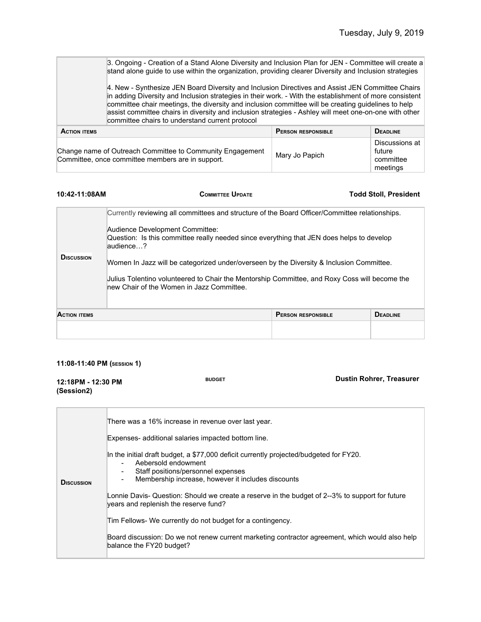meetings

|                     | 3. Ongoing - Creation of a Stand Alone Diversity and Inclusion Plan for JEN - Committee will create a<br>stand alone guide to use within the organization, providing clearer Diversity and Inclusion strategies                                                                                                                                                                                                                                                                 |                           |                                       |
|---------------------|---------------------------------------------------------------------------------------------------------------------------------------------------------------------------------------------------------------------------------------------------------------------------------------------------------------------------------------------------------------------------------------------------------------------------------------------------------------------------------|---------------------------|---------------------------------------|
|                     | 4. New - Synthesize JEN Board Diversity and Inclusion Directives and Assist JEN Committee Chairs<br>in adding Diversity and Inclusion strategies in their work. - With the establishment of more consistent<br>committee chair meetings, the diversity and inclusion committee will be creating guidelines to help<br>assist committee chairs in diversity and inclusion strategies - Ashley will meet one-on-one with other<br>committee chairs to understand current protocol |                           |                                       |
| <b>ACTION ITEMS</b> |                                                                                                                                                                                                                                                                                                                                                                                                                                                                                 | <b>PERSON RESPONSIBLE</b> | <b>DEADLINE</b>                       |
|                     | Change name of Outreach Committee to Community Engagement<br>Committee, once committee members are in support.                                                                                                                                                                                                                                                                                                                                                                  | Mary Jo Papich            | Discussions at<br>future<br>committee |

| 10:42-11:08AM       | <b>COMMITTEE UPDATE</b>                                                                                                                                                                                                                                                                                                                                                                                                                                                               |                           | <b>Todd Stoll, President</b> |
|---------------------|---------------------------------------------------------------------------------------------------------------------------------------------------------------------------------------------------------------------------------------------------------------------------------------------------------------------------------------------------------------------------------------------------------------------------------------------------------------------------------------|---------------------------|------------------------------|
| <b>DISCUSSION</b>   | Currently reviewing all committees and structure of the Board Officer/Committee relationships.<br>Audience Development Committee:<br>Question: Is this committee really needed since everything that JEN does helps to develop<br>audience?<br>Women In Jazz will be categorized under/overseen by the Diversity & Inclusion Committee.<br>Julius Tolentino volunteered to Chair the Mentorship Committee, and Roxy Coss will become the<br>new Chair of the Women in Jazz Committee. |                           |                              |
| <b>ACTION ITEMS</b> |                                                                                                                                                                                                                                                                                                                                                                                                                                                                                       | <b>PERSON RESPONSIBLE</b> | <b>DEADLINE</b>              |
|                     |                                                                                                                                                                                                                                                                                                                                                                                                                                                                                       |                           |                              |

#### **11:08-11:40 PM (SESSION 1)**

| 12:18PM - 12:30 PM<br>(Session2) | <b>BUDGET</b>                                                                                                                                                                                                                                                                                                                                                                                                                                                                                                                                                                                                                                                                                | <b>Dustin Rohrer, Treasurer</b> |
|----------------------------------|----------------------------------------------------------------------------------------------------------------------------------------------------------------------------------------------------------------------------------------------------------------------------------------------------------------------------------------------------------------------------------------------------------------------------------------------------------------------------------------------------------------------------------------------------------------------------------------------------------------------------------------------------------------------------------------------|---------------------------------|
| <b>D</b> ISCUSSION               | There was a 16% increase in revenue over last year.<br>Expenses- additional salaries impacted bottom line.<br>In the initial draft budget, a \$77,000 deficit currently projected/budgeted for FY20.<br>Aebersold endowment<br>Staff positions/personnel expenses<br>$\overline{\phantom{a}}$<br>Membership increase, however it includes discounts<br>Lonnie Davis- Question: Should we create a reserve in the budget of 2--3% to support for future<br>years and replenish the reserve fund?<br>Tim Fellows- We currently do not budget for a contingency.<br>Board discussion: Do we not renew current marketing contractor agreement, which would also help<br>balance the FY20 budget? |                                 |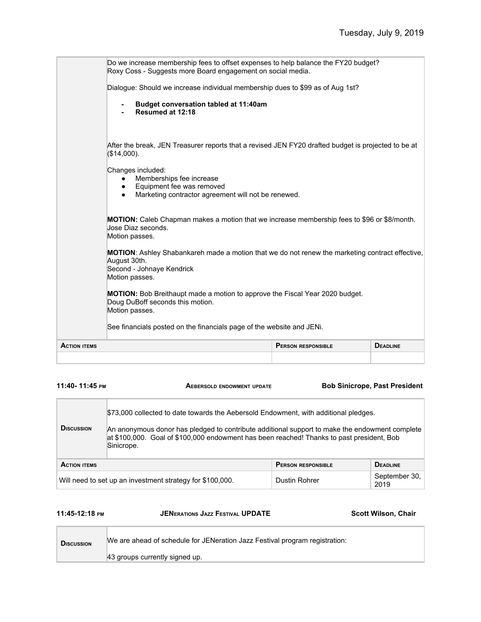| <b>ACTION ITEMS</b> |                                                                                                                                                                | <b>PERSON RESPONSIBLE</b> | <b>DEADLINE</b> |
|---------------------|----------------------------------------------------------------------------------------------------------------------------------------------------------------|---------------------------|-----------------|
|                     | See financials posted on the financials page of the website and JENi.                                                                                          |                           |                 |
|                     | <b>MOTION:</b> Bob Breithaupt made a motion to approve the Fiscal Year 2020 budget.<br>Doug DuBoff seconds this motion.<br>Motion passes.                      |                           |                 |
|                     | MOTION: Ashley Shabankareh made a motion that we do not renew the marketing contract effective,<br>August 30th.<br>Second - Johnaye Kendrick<br>Motion passes. |                           |                 |
|                     | MOTION: Caleb Chapman makes a motion that we increase membership fees to \$96 or \$8/month.<br>Jose Diaz seconds.<br>Motion passes.                            |                           |                 |
|                     | Changes included:<br>Memberships fee increase<br>Equipment fee was removed<br>$\bullet$<br>Marketing contractor agreement will not be renewed.<br>$\bullet$    |                           |                 |
|                     | After the break, JEN Treasurer reports that a revised JEN FY20 drafted budget is projected to be at<br>(\$14,000).                                             |                           |                 |
|                     | Budget conversation tabled at 11:40am<br>Resumed at 12:18                                                                                                      |                           |                 |
|                     | Dialogue: Should we increase individual membership dues to \$99 as of Aug 1st?                                                                                 |                           |                 |
|                     | Do we increase membership fees to offset expenses to help balance the FY20 budget?<br>Roxy Coss - Suggests more Board engagement on social media.              |                           |                 |

### **11:40- 11:45 PM AEBERSOLD ENDOWMENT UPDATE Bob Sinicrope, Past President**

| <b>DISCUSSION</b>                                         | \$73,000 collected to date towards the Aebersold Endowment, with additional pledges.<br>An anonymous donor has pledged to contribute additional support to make the endowment complete<br>at \$100,000. Goal of \$100,000 endowment has been reached! Thanks to past president, Bob<br>Sinicrope. |                           |                       |
|-----------------------------------------------------------|---------------------------------------------------------------------------------------------------------------------------------------------------------------------------------------------------------------------------------------------------------------------------------------------------|---------------------------|-----------------------|
| <b>ACTION ITEMS</b>                                       |                                                                                                                                                                                                                                                                                                   | <b>PERSON RESPONSIBLE</b> | <b>DEADLINE</b>       |
| Will need to set up an investment strategy for \$100,000. |                                                                                                                                                                                                                                                                                                   | Dustin Rohrer             | September 30,<br>2019 |

| 11:45-12:18 PM    | <b>JENERATIONS JAZZ FESTIVAL UPDATE</b>                                     | <b>Scott Wilson, Chair</b> |
|-------------------|-----------------------------------------------------------------------------|----------------------------|
| <b>DISCUSSION</b> | We are ahead of schedule for JENeration Jazz Festival program registration: |                            |

43 groups currently signed up.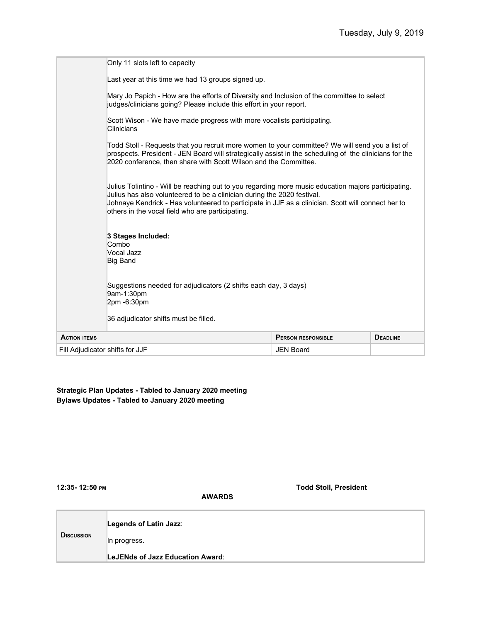| Fill Adiudicator shifts for JJF |                                                                                                                                                                                                                                                                                                                                          | <b>JEN Board</b>          |                 |
|---------------------------------|------------------------------------------------------------------------------------------------------------------------------------------------------------------------------------------------------------------------------------------------------------------------------------------------------------------------------------------|---------------------------|-----------------|
| <b>ACTION ITEMS</b>             |                                                                                                                                                                                                                                                                                                                                          | <b>PERSON RESPONSIBLE</b> | <b>DEADLINE</b> |
|                                 | Suggestions needed for adjudicators (2 shifts each day, 3 days)<br>9am-1:30pm<br>2pm -6:30pm<br>36 adjudicator shifts must be filled.                                                                                                                                                                                                    |                           |                 |
|                                 | 3 Stages Included:<br>Combo<br>Vocal Jazz<br><b>Big Band</b>                                                                                                                                                                                                                                                                             |                           |                 |
|                                 | Julius Tolintino - Will be reaching out to you regarding more music education majors participating.<br>Julius has also volunteered to be a clinician during the 2020 festival.<br>Johnaye Kendrick - Has volunteered to participate in JJF as a clinician. Scott will connect her to<br>others in the vocal field who are participating. |                           |                 |
|                                 | Todd Stoll - Requests that you recruit more women to your committee? We will send you a list of<br>prospects. President - JEN Board will strategically assist in the scheduling of the clinicians for the<br>2020 conference, then share with Scott Wilson and the Committee.                                                            |                           |                 |
|                                 | Scott Wison - We have made progress with more vocalists participating.<br>Clinicians                                                                                                                                                                                                                                                     |                           |                 |
|                                 | Mary Jo Papich - How are the efforts of Diversity and Inclusion of the committee to select<br>judges/clinicians going? Please include this effort in your report.                                                                                                                                                                        |                           |                 |
|                                 | Last year at this time we had 13 groups signed up.                                                                                                                                                                                                                                                                                       |                           |                 |
|                                 | Only 11 slots left to capacity                                                                                                                                                                                                                                                                                                           |                           |                 |

### **Strategic Plan Updates - Tabled to January 2020 meeting Bylaws Updates - Tabled to January 2020 meeting**

**12:35- 12:50 PM Todd Stoll, President**

|                   | Legends of Latin Jazz:           |
|-------------------|----------------------------------|
| <b>DISCUSSION</b> | In progress.                     |
|                   | LeJENds of Jazz Education Award: |

 **AWARDS**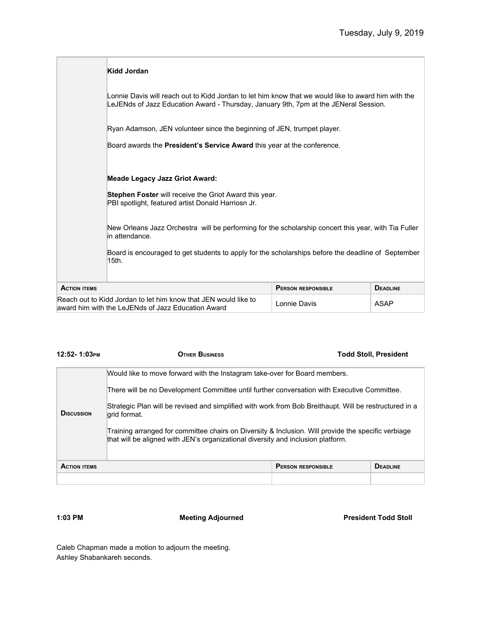|                                                                                                                       | Kidd Jordan                                                                                                                                                                                 |                           |                 |  |
|-----------------------------------------------------------------------------------------------------------------------|---------------------------------------------------------------------------------------------------------------------------------------------------------------------------------------------|---------------------------|-----------------|--|
|                                                                                                                       | Lonnie Davis will reach out to Kidd Jordan to let him know that we would like to award him with the<br>LeJENds of Jazz Education Award - Thursday, January 9th, 7pm at the JENeral Session. |                           |                 |  |
|                                                                                                                       | Ryan Adamson, JEN volunteer since the beginning of JEN, trumpet player.                                                                                                                     |                           |                 |  |
|                                                                                                                       | Board awards the President's Service Award this year at the conference.                                                                                                                     |                           |                 |  |
|                                                                                                                       | <b>Meade Legacy Jazz Griot Award:</b>                                                                                                                                                       |                           |                 |  |
|                                                                                                                       | Stephen Foster will receive the Griot Award this year.<br>PBI spotlight, featured artist Donald Harriosn Jr.                                                                                |                           |                 |  |
|                                                                                                                       | New Orleans Jazz Orchestra will be performing for the scholarship concert this year, with Tia Fuller<br>in attendance.                                                                      |                           |                 |  |
|                                                                                                                       | Board is encouraged to get students to apply for the scholarships before the deadline of September<br>15th.                                                                                 |                           |                 |  |
| <b>ACTION ITEMS</b>                                                                                                   |                                                                                                                                                                                             | <b>PERSON RESPONSIBLE</b> | <b>DEADLINE</b> |  |
| Reach out to Kidd Jordan to let him know that JEN would like to<br>award him with the LeJENds of Jazz Education Award |                                                                                                                                                                                             | Lonnie Davis              | <b>ASAP</b>     |  |

| 12:52-1:03рм                                                                                                                                                                            | <b>OTHER BUSINESS</b>                                                                                                  |                           | <b>Todd Stoll, President</b> |
|-----------------------------------------------------------------------------------------------------------------------------------------------------------------------------------------|------------------------------------------------------------------------------------------------------------------------|---------------------------|------------------------------|
| Would like to move forward with the Instagram take-over for Board members.                                                                                                              |                                                                                                                        |                           |                              |
|                                                                                                                                                                                         | There will be no Development Committee until further conversation with Executive Committee.                            |                           |                              |
| <b>D</b> ISCUSSION                                                                                                                                                                      | Strategic Plan will be revised and simplified with work from Bob Breithaupt. Will be restructured in a<br>grid format. |                           |                              |
| Training arranged for committee chairs on Diversity & Inclusion. Will provide the specific verbiage<br>that will be aligned with JEN's organizational diversity and inclusion platform. |                                                                                                                        |                           |                              |
| <b>ACTION ITEMS</b>                                                                                                                                                                     |                                                                                                                        | <b>PERSON RESPONSIBLE</b> | <b>DEADLINE</b>              |
|                                                                                                                                                                                         |                                                                                                                        |                           |                              |

**1:03 PM Meeting Adjourned President Todd Stoll**

Caleb Chapman made a motion to adjourn the meeting. Ashley Shabankareh seconds.